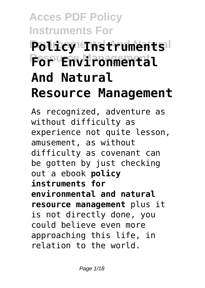# **Acces PDF Policy Instruments For Policy Instruments Resource Management For Environmental And Natural Resource Management**

As recognized, adventure as without difficulty as experience not quite lesson, amusement, as without difficulty as covenant can be gotten by just checking out a ebook **policy instruments for environmental and natural resource management** plus it is not directly done, you could believe even more approaching this life, in relation to the world.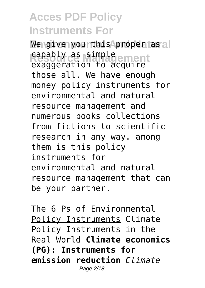We give yourthis **Aproper as** all capably as simple<br>capably as simple ement exaggeration to acquire those all. We have enough money policy instruments for environmental and natural resource management and numerous books collections from fictions to scientific research in any way. among them is this policy instruments for environmental and natural resource management that can be your partner.

The 6 Ps of Environmental Policy Instruments Climate Policy Instruments in the Real World **Climate economics (PG): Instruments for emission reduction** *Climate* Page 2/18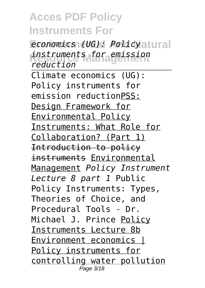$e$ *conomics (UG): Policyatural* **Resource Management** *instruments for emission reduction* Climate economics (UG): Policy instruments for emission reductionPSS: Design Framework for Environmental Policy Instruments: What Role for Collaboration? (Part 1) Introduction to policy instruments Environmental Management *Policy Instrument Lecture 8 part 1* Public Policy Instruments: Types, Theories of Choice, and Procedural Tools - Dr. Michael J. Prince Policy Instruments Lecture 8b Environment economics | Policy instruments for controlling water pollution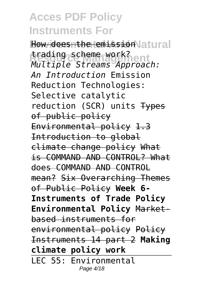How doesnthe **temission** atural **Resource Management** *Multiple Streams Approach:* trading scheme work? *An Introduction* Emission Reduction Technologies: Selective catalytic reduction (SCR) units Types of public policy Environmental policy 1.3 Introduction to global climate change policy What is COMMAND AND CONTROL? What does COMMAND AND CONTROL mean? Six Overarching Themes of Public Policy **Week 6- Instruments of Trade Policy Environmental Policy** Marketbased instruments for environmental policy Policy Instruments 14 part 2 **Making climate policy work** LEC 55: Environmental Page 4/18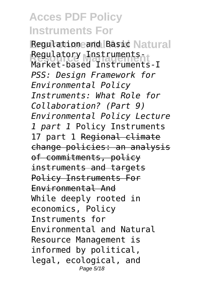Regulationeand Basic Natural **Resource Management** Market-based Instruments-I Regulatory Instruments-*PSS: Design Framework for Environmental Policy Instruments: What Role for Collaboration? (Part 9) Environmental Policy Lecture 1 part 1* Policy Instruments 17 part 1 Regional climate change policies: an analysis of commitments, policy instruments and targets Policy Instruments For Environmental And While deeply rooted in economics, Policy Instruments for Environmental and Natural Resource Management is informed by political, legal, ecological, and Page 5/18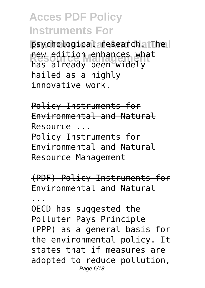psychological research. The **Rew edition enhances what** has already been widely hailed as a highly innovative work.

Policy Instruments for Environmental and Natural Resource ...

Policy Instruments for Environmental and Natural Resource Management

(PDF) Policy Instruments for Environmental and Natural

...

OECD has suggested the Polluter Pays Principle (PPP) as a general basis for the environmental policy. It states that if measures are adopted to reduce pollution, Page 6/18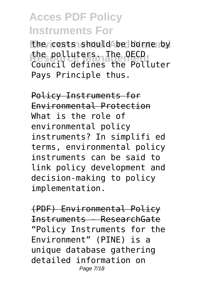the costs should be borne by **Resource Management** Council defines the Polluter the polluters. The OECD Pays Principle thus.

Policy Instruments for Environmental Protection What is the role of environmental policy instruments? In simplifi ed terms, environmental policy instruments can be said to link policy development and decision-making to policy implementation.

(PDF) Environmental Policy Instruments - ResearchGate "Policy Instruments for the Environment" (PINE) is a unique database gathering detailed information on Page 7/18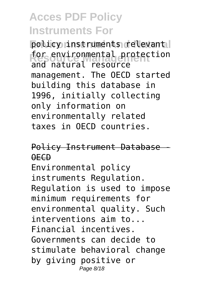policy instruments relevant for environmental protection and natural resource management. The OECD started building this database in 1996, initially collecting only information on environmentally related taxes in OECD countries.

Policy Instrument Database - OECD

Environmental policy instruments Regulation. Regulation is used to impose minimum requirements for environmental quality. Such interventions aim to... Financial incentives. Governments can decide to stimulate behavioral change by giving positive or Page 8/18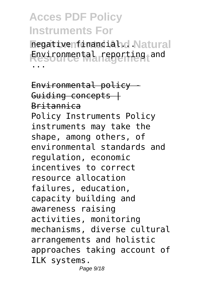negativenfinanciahd Natural **Resource Management** Environmental reporting and ...

Environmental policy - Guiding concepts  $+$ Britannica Policy Instruments Policy instruments may take the shape, among others, of environmental standards and regulation, economic incentives to correct resource allocation failures, education, capacity building and awareness raising activities, monitoring mechanisms, diverse cultural arrangements and holistic approaches taking account of ILK systems. Page 9/18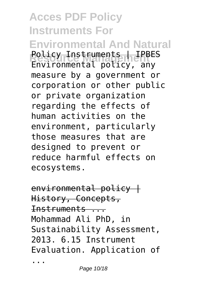**Acces PDF Policy Instruments For Environmental And Natural Resource Management** Policy Instruments | IPBES Environmental policy, any measure by a government or corporation or other public or private organization regarding the effects of human activities on the environment, particularly those measures that are designed to prevent or reduce harmful effects on ecosystems.

 $env$ ironmental policy  $+$ History, Concepts, Instruments ... Mohammad Ali PhD, in Sustainability Assessment, 2013. 6.15 Instrument Evaluation. Application of

...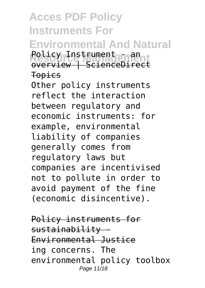**Acces PDF Policy Instruments For Environmental And Natural Rolicy Instrument - an** overview | ScienceDirect Topics

Other policy instruments reflect the interaction between regulatory and economic instruments: for example, environmental liability of companies generally comes from regulatory laws but companies are incentivised not to pollute in order to avoid payment of the fine (economic disincentive).

Policy instruments for  $s$ ustainability -Environmental Justice ing concerns. The environmental policy toolbox Page 11/18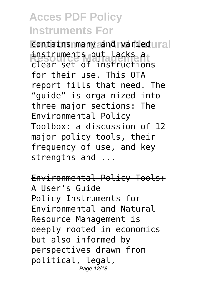**Contains many and varied ural Resource Management** clear set of instructions instruments but lacks a for their use. This OTA report fills that need. The "guide" is orga-nized into three major sections: The Environmental Policy Toolbox: a discussion of 12 major policy tools, their frequency of use, and key strengths and ...

Environmental Policy Tools: A User's Guide Policy Instruments for Environmental and Natural Resource Management is deeply rooted in economics but also informed by perspectives drawn from political, legal, Page 12/18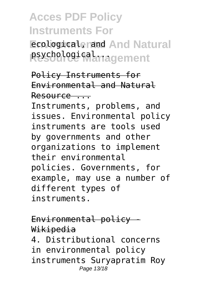**Ecological, rand And Natural** psychological<sub>magement</sub>

Policy Instruments for Environmental and Natural Resource ...

Instruments, problems, and issues. Environmental policy instruments are tools used by governments and other organizations to implement their environmental policies. Governments, for example, may use a number of different types of instruments.

Environmental policy - Wikipedia 4. Distributional concerns in environmental policy instruments Suryapratim Roy Page 13/18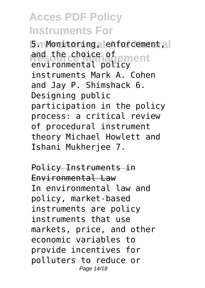**5n Monitoring, lenforcement, al** and the choice of<br>**Resource Management** environmental policy instruments Mark A. Cohen and Jay P. Shimshack 6. Designing public participation in the policy process: a critical review of procedural instrument theory Michael Howlett and Ishani Mukherjee 7.

Policy Instruments in Environmental Law In environmental law and policy, market-based instruments are policy instruments that use markets, price, and other economic variables to provide incentives for polluters to reduce or Page 14/18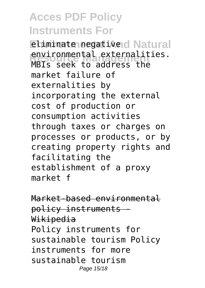**Eliminate negative d Natural Resource Management** MBIs seek to address the environmental externalities. market failure of externalities by incorporating the external cost of production or consumption activities through taxes or charges on processes or products, or by creating property rights and facilitating the establishment of a proxy market f

Market-based environmental policy instruments - Wikipedia Policy instruments for sustainable tourism Policy instruments for more sustainable tourism Page 15/18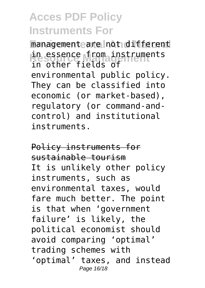managementeare not different in essence from instruments in other fields of environmental public policy. They can be classified into economic (or market-based), regulatory (or command-andcontrol) and institutional instruments.

Policy instruments for sustainable tourism It is unlikely other policy instruments, such as environmental taxes, would fare much better. The point is that when 'government failure' is likely, the political economist should avoid comparing 'optimal' trading schemes with 'optimal' taxes, and instead Page 16/18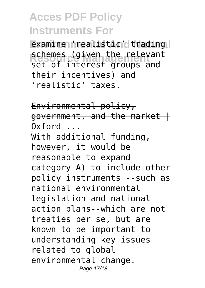**Examine 'realistic' trading** schemes (given the relevant set of interest groups and their incentives) and 'realistic' taxes.

Environmental policy, government, and the market |  $Qx$ ford  $\qquad$ With additional funding, however, it would be reasonable to expand category A) to include other policy instruments --such as national environmental legislation and national action plans--which are not treaties per se, but are known to be important to understanding key issues related to global environmental change. Page 17/18